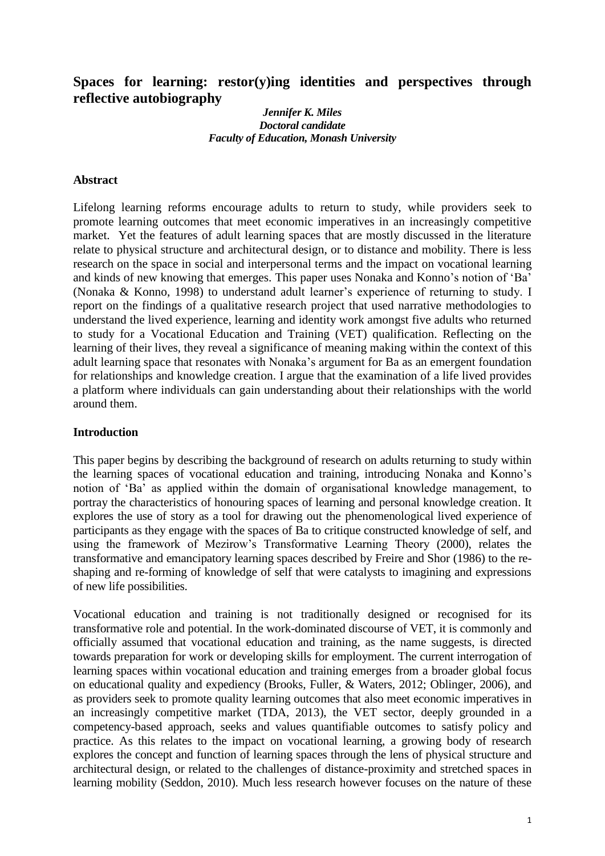# **Spaces for learning: restor(y)ing identities and perspectives through reflective autobiography**

#### *Jennifer K. Miles Doctoral candidate Faculty of Education, Monash University*

### **Abstract**

Lifelong learning reforms encourage adults to return to study, while providers seek to promote learning outcomes that meet economic imperatives in an increasingly competitive market. Yet the features of adult learning spaces that are mostly discussed in the literature relate to physical structure and architectural design, or to distance and mobility. There is less research on the space in social and interpersonal terms and the impact on vocational learning and kinds of new knowing that emerges. This paper uses Nonaka and Konno's notion of 'Ba' [\(Nonaka & Konno, 1998\)](#page-11-0) to understand adult learner's experience of returning to study. I report on the findings of a qualitative research project that used narrative methodologies to understand the lived experience, learning and identity work amongst five adults who returned to study for a Vocational Education and Training (VET) qualification. Reflecting on the learning of their lives, they reveal a significance of meaning making within the context of this adult learning space that resonates with Nonaka's argument for Ba as an emergent foundation for relationships and knowledge creation. I argue that the examination of a life lived provides a platform where individuals can gain understanding about their relationships with the world around them.

#### **Introduction**

This paper begins by describing the background of research on adults returning to study within the learning spaces of vocational education and training, introducing Nonaka and Konno's notion of 'Ba' as applied within the domain of organisational knowledge management, to portray the characteristics of honouring spaces of learning and personal knowledge creation. It explores the use of story as a tool for drawing out the phenomenological lived experience of participants as they engage with the spaces of Ba to critique constructed knowledge of self, and using the framework of Mezirow's Transformative Learning Theory [\(2000\)](#page-11-1), relates the transformative and emancipatory learning spaces described by Freire and Shor [\(1986\)](#page-11-2) to the reshaping and re-forming of knowledge of self that were catalysts to imagining and expressions of new life possibilities.

Vocational education and training is not traditionally designed or recognised for its transformative role and potential. In the work-dominated discourse of VET, it is commonly and officially assumed that vocational education and training, as the name suggests, is directed towards preparation for work or developing skills for employment. The current interrogation of learning spaces within vocational education and training emerges from a broader global focus on educational quality and expediency [\(Brooks, Fuller, & Waters, 2012;](#page-11-3) [Oblinger, 2006\)](#page-11-4), and as providers seek to promote quality learning outcomes that also meet economic imperatives in an increasingly competitive market [\(TDA, 2013\)](#page-11-5), the VET sector, deeply grounded in a competency-based approach, seeks and values quantifiable outcomes to satisfy policy and practice. As this relates to the impact on vocational learning, a growing body of research explores the concept and function of learning spaces through the lens of physical structure and architectural design, or related to the challenges of distance-proximity and stretched spaces in learning mobility [\(Seddon, 2010\)](#page-11-6). Much less research however focuses on the nature of these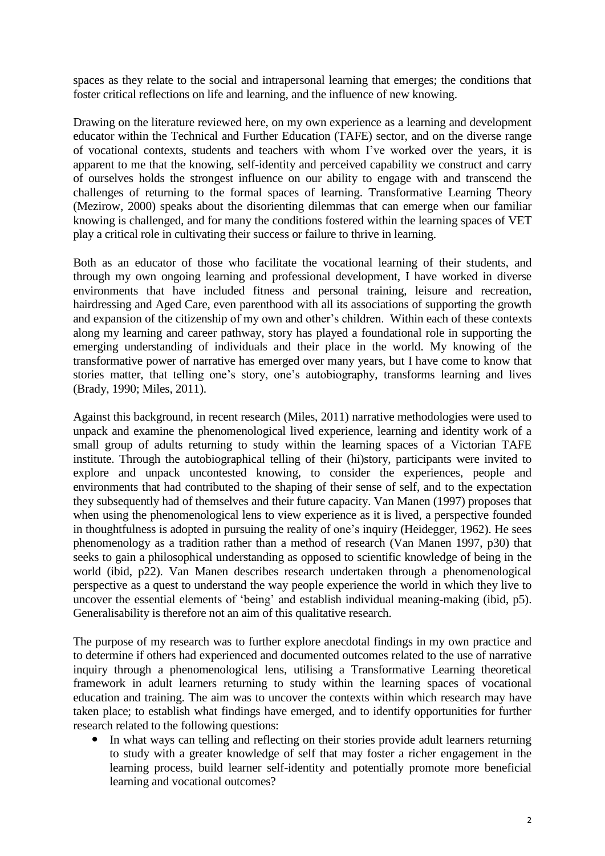spaces as they relate to the social and intrapersonal learning that emerges; the conditions that foster critical reflections on life and learning, and the influence of new knowing.

Drawing on the literature reviewed here, on my own experience as a learning and development educator within the Technical and Further Education (TAFE) sector, and on the diverse range of vocational contexts, students and teachers with whom I've worked over the years, it is apparent to me that the knowing, self-identity and perceived capability we construct and carry of ourselves holds the strongest influence on our ability to engage with and transcend the challenges of returning to the formal spaces of learning. Transformative Learning Theory (Mezirow, 2000) speaks about the disorienting dilemmas that can emerge when our familiar knowing is challenged, and for many the conditions fostered within the learning spaces of VET play a critical role in cultivating their success or failure to thrive in learning.

Both as an educator of those who facilitate the vocational learning of their students, and through my own ongoing learning and professional development, I have worked in diverse environments that have included fitness and personal training, leisure and recreation, hairdressing and Aged Care, even parenthood with all its associations of supporting the growth and expansion of the citizenship of my own and other's children. Within each of these contexts along my learning and career pathway, story has played a foundational role in supporting the emerging understanding of individuals and their place in the world. My knowing of the transformative power of narrative has emerged over many years, but I have come to know that stories matter, that telling one's story, one's autobiography, transforms learning and lives [\(Brady, 1990;](#page-11-7) [Miles, 2011\)](#page-11-8).

Against this background, in recent research [\(Miles, 2011\)](#page-11-8) narrative methodologies were used to unpack and examine the phenomenological lived experience, learning and identity work of a small group of adults returning to study within the learning spaces of a Victorian TAFE institute. Through the autobiographical telling of their (hi)story, participants were invited to explore and unpack uncontested knowing, to consider the experiences, people and environments that had contributed to the shaping of their sense of self, and to the expectation they subsequently had of themselves and their future capacity. Van Manen [\(1997\)](#page-11-9) proposes that when using the phenomenological lens to view experience as it is lived, a perspective founded in thoughtfulness is adopted in pursuing the reality of one's inquiry [\(Heidegger, 1962\)](#page-11-10). He sees phenomenology as a tradition rather than a method of research (Van Manen 1997, p30) that seeks to gain a philosophical understanding as opposed to scientific knowledge of being in the world (ibid, p22). Van Manen describes research undertaken through a phenomenological perspective as a quest to understand the way people experience the world in which they live to uncover the essential elements of 'being' and establish individual meaning-making (ibid, p5). Generalisability is therefore not an aim of this qualitative research.

The purpose of my research was to further explore anecdotal findings in my own practice and to determine if others had experienced and documented outcomes related to the use of narrative inquiry through a phenomenological lens, utilising a Transformative Learning theoretical framework in adult learners returning to study within the learning spaces of vocational education and training. The aim was to uncover the contexts within which research may have taken place; to establish what findings have emerged, and to identify opportunities for further research related to the following questions:

 In what ways can telling and reflecting on their stories provide adult learners returning to study with a greater knowledge of self that may foster a richer engagement in the learning process, build learner self-identity and potentially promote more beneficial learning and vocational outcomes?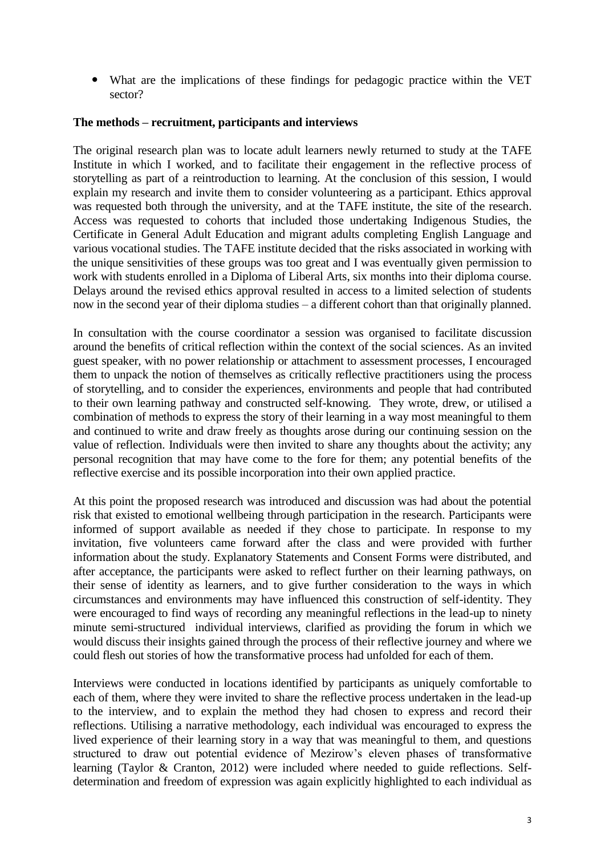What are the implications of these findings for pedagogic practice within the VET sector?

### **The methods – recruitment, participants and interviews**

The original research plan was to locate adult learners newly returned to study at the TAFE Institute in which I worked, and to facilitate their engagement in the reflective process of storytelling as part of a reintroduction to learning. At the conclusion of this session, I would explain my research and invite them to consider volunteering as a participant. Ethics approval was requested both through the university, and at the TAFE institute, the site of the research. Access was requested to cohorts that included those undertaking Indigenous Studies, the Certificate in General Adult Education and migrant adults completing English Language and various vocational studies. The TAFE institute decided that the risks associated in working with the unique sensitivities of these groups was too great and I was eventually given permission to work with students enrolled in a Diploma of Liberal Arts, six months into their diploma course. Delays around the revised ethics approval resulted in access to a limited selection of students now in the second year of their diploma studies – a different cohort than that originally planned.

In consultation with the course coordinator a session was organised to facilitate discussion around the benefits of critical reflection within the context of the social sciences. As an invited guest speaker, with no power relationship or attachment to assessment processes, I encouraged them to unpack the notion of themselves as critically reflective practitioners using the process of storytelling, and to consider the experiences, environments and people that had contributed to their own learning pathway and constructed self-knowing. They wrote, drew, or utilised a combination of methods to express the story of their learning in a way most meaningful to them and continued to write and draw freely as thoughts arose during our continuing session on the value of reflection. Individuals were then invited to share any thoughts about the activity; any personal recognition that may have come to the fore for them; any potential benefits of the reflective exercise and its possible incorporation into their own applied practice.

At this point the proposed research was introduced and discussion was had about the potential risk that existed to emotional wellbeing through participation in the research. Participants were informed of support available as needed if they chose to participate. In response to my invitation, five volunteers came forward after the class and were provided with further information about the study. Explanatory Statements and Consent Forms were distributed, and after acceptance, the participants were asked to reflect further on their learning pathways, on their sense of identity as learners, and to give further consideration to the ways in which circumstances and environments may have influenced this construction of self-identity. They were encouraged to find ways of recording any meaningful reflections in the lead-up to ninety minute semi-structured individual interviews, clarified as providing the forum in which we would discuss their insights gained through the process of their reflective journey and where we could flesh out stories of how the transformative process had unfolded for each of them.

Interviews were conducted in locations identified by participants as uniquely comfortable to each of them, where they were invited to share the reflective process undertaken in the lead-up to the interview, and to explain the method they had chosen to express and record their reflections. Utilising a narrative methodology, each individual was encouraged to express the lived experience of their learning story in a way that was meaningful to them, and questions structured to draw out potential evidence of Mezirow's eleven phases of transformative learning [\(Taylor & Cranton, 2012\)](#page-11-11) were included where needed to guide reflections. Selfdetermination and freedom of expression was again explicitly highlighted to each individual as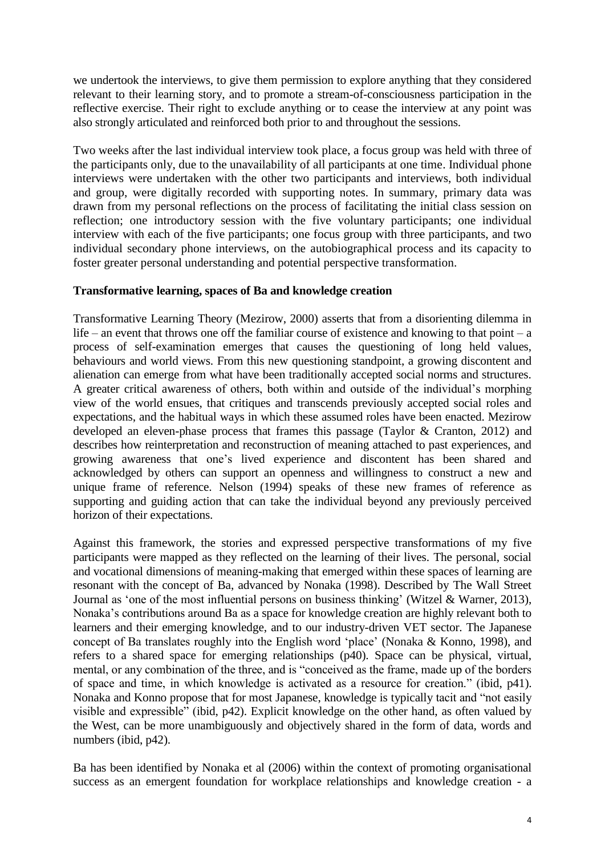we undertook the interviews, to give them permission to explore anything that they considered relevant to their learning story, and to promote a stream-of-consciousness participation in the reflective exercise. Their right to exclude anything or to cease the interview at any point was also strongly articulated and reinforced both prior to and throughout the sessions.

Two weeks after the last individual interview took place, a focus group was held with three of the participants only, due to the unavailability of all participants at one time. Individual phone interviews were undertaken with the other two participants and interviews, both individual and group, were digitally recorded with supporting notes. In summary, primary data was drawn from my personal reflections on the process of facilitating the initial class session on reflection; one introductory session with the five voluntary participants; one individual interview with each of the five participants; one focus group with three participants, and two individual secondary phone interviews, on the autobiographical process and its capacity to foster greater personal understanding and potential perspective transformation.

### **Transformative learning, spaces of Ba and knowledge creation**

Transformative Learning Theory (Mezirow, 2000) asserts that from a disorienting dilemma in life – an event that throws one off the familiar course of existence and knowing to that point – a process of self-examination emerges that causes the questioning of long held values, behaviours and world views. From this new questioning standpoint, a growing discontent and alienation can emerge from what have been traditionally accepted social norms and structures. A greater critical awareness of others, both within and outside of the individual's morphing view of the world ensues, that critiques and transcends previously accepted social roles and expectations, and the habitual ways in which these assumed roles have been enacted. Mezirow developed an eleven-phase process that frames this passage [\(Taylor & Cranton, 2012\)](#page-11-11) and describes how reinterpretation and reconstruction of meaning attached to past experiences, and growing awareness that one's lived experience and discontent has been shared and acknowledged by others can support an openness and willingness to construct a new and unique frame of reference. Nelson [\(1994\)](#page-11-12) speaks of these new frames of reference as supporting and guiding action that can take the individual beyond any previously perceived horizon of their expectations.

Against this framework, the stories and expressed perspective transformations of my five participants were mapped as they reflected on the learning of their lives. The personal, social and vocational dimensions of meaning-making that emerged within these spaces of learning are resonant with the concept of Ba, advanced by Nonaka [\(1998\)](#page-11-0). Described by The Wall Street Journal as 'one of the most influential persons on business thinking' [\(Witzel & Warner, 2013\)](#page-11-13), Nonaka's contributions around Ba as a space for knowledge creation are highly relevant both to learners and their emerging knowledge, and to our industry-driven VET sector. The Japanese concept of Ba translates roughly into the English word 'place' [\(Nonaka & Konno, 1998\)](#page-11-0), and refers to a shared space for emerging relationships (p40). Space can be physical, virtual, mental, or any combination of the three, and is "conceived as the frame, made up of the borders of space and time, in which knowledge is activated as a resource for creation." (ibid, p41). Nonaka and Konno propose that for most Japanese, knowledge is typically tacit and "not easily visible and expressible" (ibid, p42). Explicit knowledge on the other hand, as often valued by the West, can be more unambiguously and objectively shared in the form of data, words and numbers (ibid, p42).

Ba has been identified by Nonaka et al [\(2006\)](#page-11-14) within the context of promoting organisational success as an emergent foundation for workplace relationships and knowledge creation - a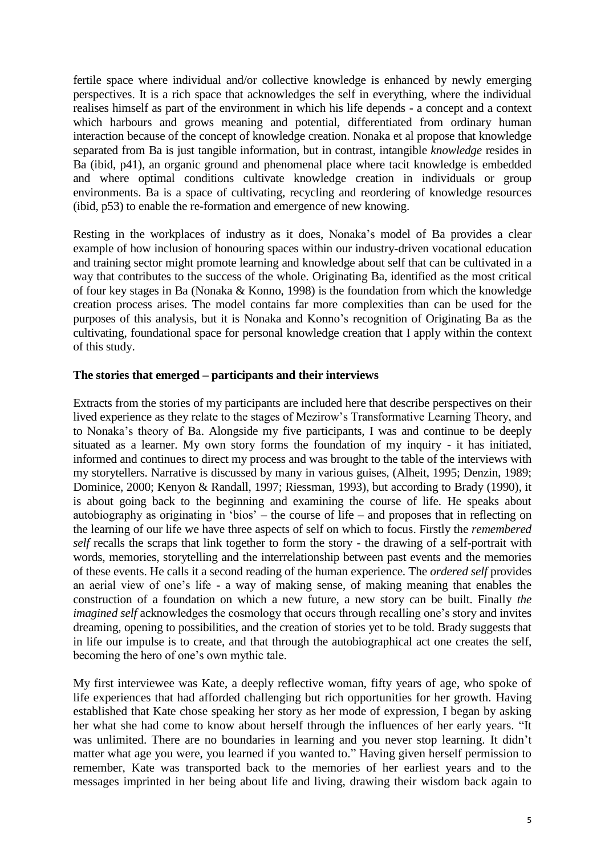fertile space where individual and/or collective knowledge is enhanced by newly emerging perspectives. It is a rich space that acknowledges the self in everything, where the individual realises himself as part of the environment in which his life depends - a concept and a context which harbours and grows meaning and potential, differentiated from ordinary human interaction because of the concept of knowledge creation. Nonaka et al propose that knowledge separated from Ba is just tangible information, but in contrast, intangible *knowledge* resides in Ba (ibid, p41), an organic ground and phenomenal place where tacit knowledge is embedded and where optimal conditions cultivate knowledge creation in individuals or group environments. Ba is a space of cultivating, recycling and reordering of knowledge resources (ibid, p53) to enable the re-formation and emergence of new knowing.

Resting in the workplaces of industry as it does, Nonaka's model of Ba provides a clear example of how inclusion of honouring spaces within our industry-driven vocational education and training sector might promote learning and knowledge about self that can be cultivated in a way that contributes to the success of the whole. Originating Ba, identified as the most critical of four key stages in Ba [\(Nonaka & Konno,](#page-11-0) 1998) is the foundation from which the knowledge creation process arises. The model contains far more complexities than can be used for the purposes of this analysis, but it is Nonaka and Konno's recognition of Originating Ba as the cultivating, foundational space for personal knowledge creation that I apply within the context of this study.

## **The stories that emerged – participants and their interviews**

Extracts from the stories of my participants are included here that describe perspectives on their lived experience as they relate to the stages of Mezirow's Transformative Learning Theory, and to Nonaka's theory of Ba. Alongside my five participants, I was and continue to be deeply situated as a learner. My own story forms the foundation of my inquiry - it has initiated, informed and continues to direct my process and was brought to the table of the interviews with my storytellers. Narrative is discussed by many in various guises, [\(Alheit, 1995;](#page-11-15) [Denzin, 1989;](#page-11-16) [Dominice, 2000;](#page-11-17) [Kenyon & Randall, 1997;](#page-11-18) [Riessman, 1993\)](#page-11-19), but according to Brady [\(1990\)](#page-11-7), it is about going back to the beginning and examining the course of life. He speaks about autobiography as originating in 'bios' – the course of life – and proposes that in reflecting on the learning of our life we have three aspects of self on which to focus. Firstly the *remembered self* recalls the scraps that link together to form the story - the drawing of a self-portrait with words, memories, storytelling and the interrelationship between past events and the memories of these events. He calls it a second reading of the human experience. The *ordered self* provides an aerial view of one's life - a way of making sense, of making meaning that enables the construction of a foundation on which a new future, a new story can be built. Finally *the imagined self* acknowledges the cosmology that occurs through recalling one's story and invites dreaming, opening to possibilities, and the creation of stories yet to be told. Brady suggests that in life our impulse is to create, and that through the autobiographical act one creates the self, becoming the hero of one's own mythic tale.

My first interviewee was Kate, a deeply reflective woman, fifty years of age, who spoke of life experiences that had afforded challenging but rich opportunities for her growth. Having established that Kate chose speaking her story as her mode of expression, I began by asking her what she had come to know about herself through the influences of her early years. "It was unlimited. There are no boundaries in learning and you never stop learning. It didn't matter what age you were, you learned if you wanted to." Having given herself permission to remember, Kate was transported back to the memories of her earliest years and to the messages imprinted in her being about life and living, drawing their wisdom back again to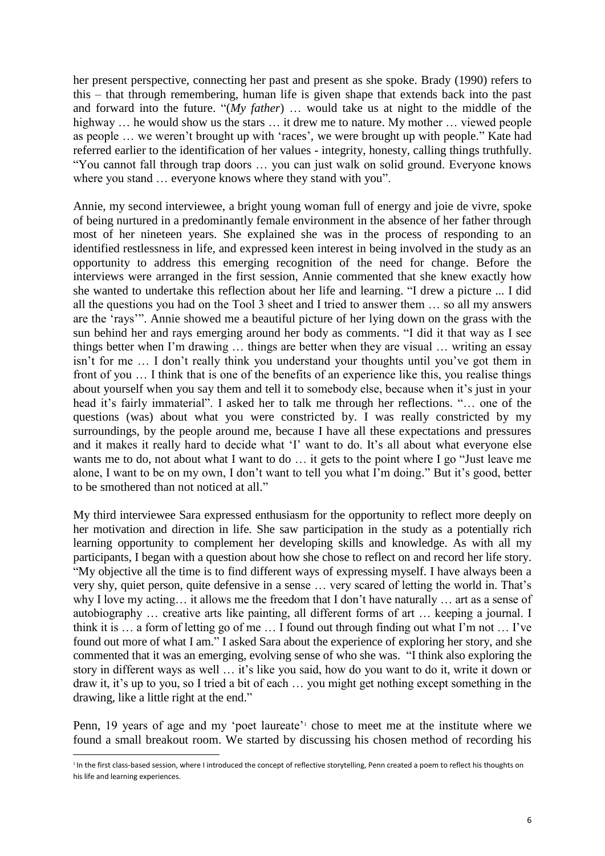her present perspective, connecting her past and present as she spoke. Brady [\(1990\)](#page-11-7) refers to this – that through remembering, human life is given shape that extends back into the past and forward into the future. "(*My father*) … would take us at night to the middle of the highway ... he would show us the stars ... it drew me to nature. My mother ... viewed people as people … we weren't brought up with 'races', we were brought up with people." Kate had referred earlier to the identification of her values - integrity, honesty, calling things truthfully. "You cannot fall through trap doors … you can just walk on solid ground. Everyone knows where you stand … everyone knows where they stand with you".

Annie, my second interviewee, a bright young woman full of energy and joie de vivre, spoke of being nurtured in a predominantly female environment in the absence of her father through most of her nineteen years. She explained she was in the process of responding to an identified restlessness in life, and expressed keen interest in being involved in the study as an opportunity to address this emerging recognition of the need for change. Before the interviews were arranged in the first session, Annie commented that she knew exactly how she wanted to undertake this reflection about her life and learning. "I drew a picture ... I did all the questions you had on the Tool 3 sheet and I tried to answer them … so all my answers are the 'rays'". Annie showed me a beautiful picture of her lying down on the grass with the sun behind her and rays emerging around her body as comments. "I did it that way as I see things better when I'm drawing … things are better when they are visual … writing an essay isn't for me … I don't really think you understand your thoughts until you've got them in front of you … I think that is one of the benefits of an experience like this, you realise things about yourself when you say them and tell it to somebody else, because when it's just in your head it's fairly immaterial". I asked her to talk me through her reflections. "… one of the questions (was) about what you were constricted by. I was really constricted by my surroundings, by the people around me, because I have all these expectations and pressures and it makes it really hard to decide what 'I' want to do. It's all about what everyone else wants me to do, not about what I want to do … it gets to the point where I go "Just leave me alone, I want to be on my own, I don't want to tell you what I'm doing." But it's good, better to be smothered than not noticed at all."

My third interviewee Sara expressed enthusiasm for the opportunity to reflect more deeply on her motivation and direction in life. She saw participation in the study as a potentially rich learning opportunity to complement her developing skills and knowledge. As with all my participants, I began with a question about how she chose to reflect on and record her life story. "My objective all the time is to find different ways of expressing myself. I have always been a very shy, quiet person, quite defensive in a sense … very scared of letting the world in. That's why I love my acting… it allows me the freedom that I don't have naturally … art as a sense of autobiography … creative arts like painting, all different forms of art … keeping a journal. I think it is … a form of letting go of me … I found out through finding out what I'm not … I've found out more of what I am." I asked Sara about the experience of exploring her story, and she commented that it was an emerging, evolving sense of who she was. "I think also exploring the story in different ways as well … it's like you said, how do you want to do it, write it down or draw it, it's up to you, so I tried a bit of each … you might get nothing except something in the drawing, like a little right at the end."

Penn, 19 years of age and my 'poet laureate'<sup>1</sup> chose to meet me at the institute where we found a small breakout room. We started by discussing his chosen method of recording his

<sup>1</sup> <sup>1</sup> In the first class-based session, where I introduced the concept of reflective storytelling, Penn created a poem to reflect his thoughts on his life and learning experiences.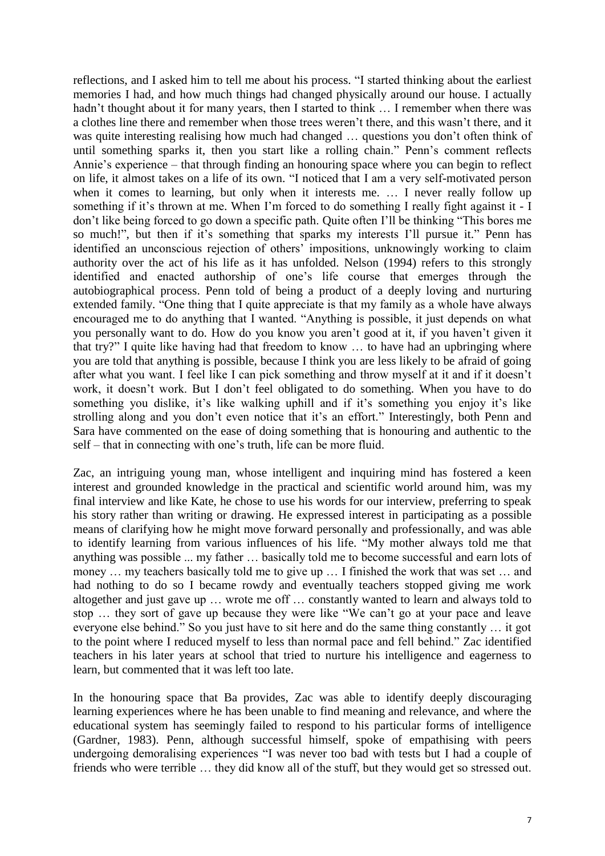reflections, and I asked him to tell me about his process. "I started thinking about the earliest memories I had, and how much things had changed physically around our house. I actually hadn't thought about it for many years, then I started to think ... I remember when there was a clothes line there and remember when those trees weren't there, and this wasn't there, and it was quite interesting realising how much had changed … questions you don't often think of until something sparks it, then you start like a rolling chain." Penn's comment reflects Annie's experience – that through finding an honouring space where you can begin to reflect on life, it almost takes on a life of its own. "I noticed that I am a very self-motivated person when it comes to learning, but only when it interests me. … I never really follow up something if it's thrown at me. When I'm forced to do something I really fight against it - I don't like being forced to go down a specific path. Quite often I'll be thinking "This bores me so much!", but then if it's something that sparks my interests I'll pursue it." Penn has identified an unconscious rejection of others' impositions, unknowingly working to claim authority over the act of his life as it has unfolded. Nelson [\(1994\)](#page-11-12) refers to this strongly identified and enacted authorship of one's life course that emerges through the autobiographical process. Penn told of being a product of a deeply loving and nurturing extended family. "One thing that I quite appreciate is that my family as a whole have always encouraged me to do anything that I wanted. "Anything is possible, it just depends on what you personally want to do. How do you know you aren't good at it, if you haven't given it that try?" I quite like having had that freedom to know … to have had an upbringing where you are told that anything is possible, because I think you are less likely to be afraid of going after what you want. I feel like I can pick something and throw myself at it and if it doesn't work, it doesn't work. But I don't feel obligated to do something. When you have to do something you dislike, it's like walking uphill and if it's something you enjoy it's like strolling along and you don't even notice that it's an effort." Interestingly, both Penn and Sara have commented on the ease of doing something that is honouring and authentic to the self – that in connecting with one's truth, life can be more fluid.

Zac, an intriguing young man, whose intelligent and inquiring mind has fostered a keen interest and grounded knowledge in the practical and scientific world around him, was my final interview and like Kate, he chose to use his words for our interview, preferring to speak his story rather than writing or drawing. He expressed interest in participating as a possible means of clarifying how he might move forward personally and professionally, and was able to identify learning from various influences of his life. "My mother always told me that anything was possible ... my father … basically told me to become successful and earn lots of money … my teachers basically told me to give up … I finished the work that was set … and had nothing to do so I became rowdy and eventually teachers stopped giving me work altogether and just gave up … wrote me off … constantly wanted to learn and always told to stop … they sort of gave up because they were like "We can't go at your pace and leave everyone else behind." So you just have to sit here and do the same thing constantly … it got to the point where I reduced myself to less than normal pace and fell behind." Zac identified teachers in his later years at school that tried to nurture his intelligence and eagerness to learn, but commented that it was left too late.

In the honouring space that Ba provides, Zac was able to identify deeply discouraging learning experiences where he has been unable to find meaning and relevance, and where the educational system has seemingly failed to respond to his particular forms of intelligence [\(Gardner, 1983\)](#page-11-20). Penn, although successful himself, spoke of empathising with peers undergoing demoralising experiences "I was never too bad with tests but I had a couple of friends who were terrible … they did know all of the stuff, but they would get so stressed out.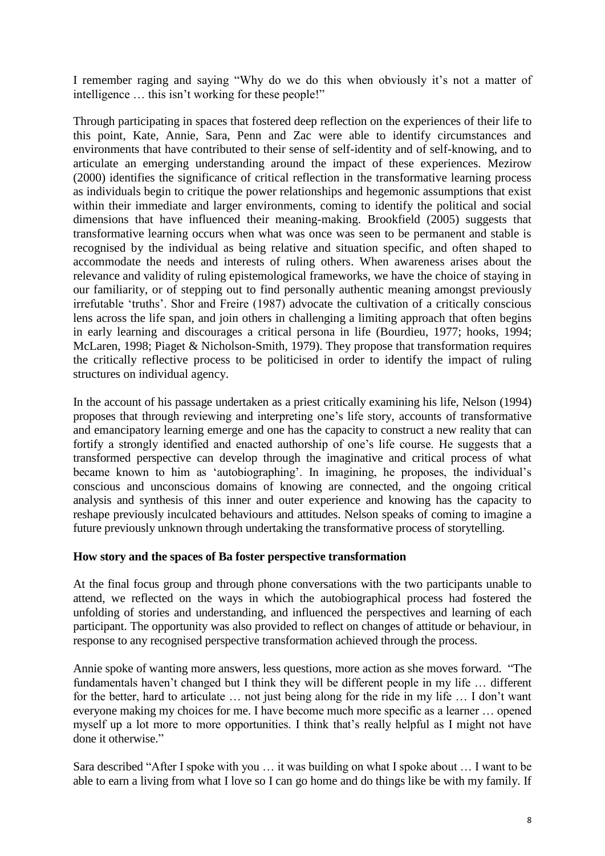I remember raging and saying "Why do we do this when obviously it's not a matter of intelligence … this isn't working for these people!"

Through participating in spaces that fostered deep reflection on the experiences of their life to this point, Kate, Annie, Sara, Penn and Zac were able to identify circumstances and environments that have contributed to their sense of self-identity and of self-knowing, and to articulate an emerging understanding around the impact of these experiences. Mezirow [\(2000\)](#page-11-1) identifies the significance of critical reflection in the transformative learning process as individuals begin to critique the power relationships and hegemonic assumptions that exist within their immediate and larger environments, coming to identify the political and social dimensions that have influenced their meaning-making. Brookfield (2005) suggests that transformative learning occurs when what was once was seen to be permanent and stable is recognised by the individual as being relative and situation specific, and often shaped to accommodate the needs and interests of ruling others. When awareness arises about the relevance and validity of ruling epistemological frameworks, we have the choice of staying in our familiarity, or of stepping out to find personally authentic meaning amongst previously irrefutable 'truths'. Shor and Freire (1987) advocate the cultivation of a critically conscious lens across the life span, and join others in challenging a limiting approach that often begins in early learning and discourages a critical persona in life [\(Bourdieu, 1977;](#page-11-21) [hooks, 1994;](#page-11-22) [McLaren, 1998;](#page-11-23) [Piaget & Nicholson-Smith, 1979\)](#page-11-24). They propose that transformation requires the critically reflective process to be politicised in order to identify the impact of ruling structures on individual agency.

In the account of his passage undertaken as a priest critically examining his life, Nelson [\(1994\)](#page-11-12) proposes that through reviewing and interpreting one's life story, accounts of transformative and emancipatory learning emerge and one has the capacity to construct a new reality that can fortify a strongly identified and enacted authorship of one's life course. He suggests that a transformed perspective can develop through the imaginative and critical process of what became known to him as 'autobiographing'. In imagining, he proposes, the individual's conscious and unconscious domains of knowing are connected, and the ongoing critical analysis and synthesis of this inner and outer experience and knowing has the capacity to reshape previously inculcated behaviours and attitudes. Nelson speaks of coming to imagine a future previously unknown through undertaking the transformative process of storytelling.

# **How story and the spaces of Ba foster perspective transformation**

At the final focus group and through phone conversations with the two participants unable to attend, we reflected on the ways in which the autobiographical process had fostered the unfolding of stories and understanding, and influenced the perspectives and learning of each participant. The opportunity was also provided to reflect on changes of attitude or behaviour, in response to any recognised perspective transformation achieved through the process.

Annie spoke of wanting more answers, less questions, more action as she moves forward. "The fundamentals haven't changed but I think they will be different people in my life … different for the better, hard to articulate … not just being along for the ride in my life … I don't want everyone making my choices for me. I have become much more specific as a learner … opened myself up a lot more to more opportunities. I think that's really helpful as I might not have done it otherwise."

Sara described "After I spoke with you … it was building on what I spoke about … I want to be able to earn a living from what I love so I can go home and do things like be with my family. If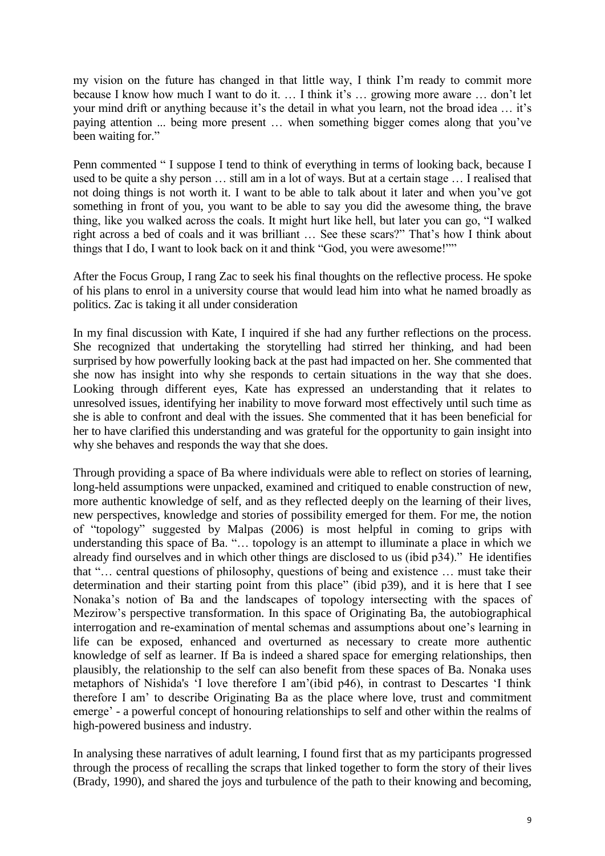my vision on the future has changed in that little way, I think I'm ready to commit more because I know how much I want to do it. … I think it's … growing more aware … don't let your mind drift or anything because it's the detail in what you learn, not the broad idea … it's paying attention ... being more present … when something bigger comes along that you've been waiting for."

Penn commented " I suppose I tend to think of everything in terms of looking back, because I used to be quite a shy person … still am in a lot of ways. But at a certain stage … I realised that not doing things is not worth it. I want to be able to talk about it later and when you've got something in front of you, you want to be able to say you did the awesome thing, the brave thing, like you walked across the coals. It might hurt like hell, but later you can go, "I walked right across a bed of coals and it was brilliant … See these scars?" That's how I think about things that I do, I want to look back on it and think "God, you were awesome!""

After the Focus Group, I rang Zac to seek his final thoughts on the reflective process. He spoke of his plans to enrol in a university course that would lead him into what he named broadly as politics. Zac is taking it all under consideration

In my final discussion with Kate, I inquired if she had any further reflections on the process. She recognized that undertaking the storytelling had stirred her thinking, and had been surprised by how powerfully looking back at the past had impacted on her. She commented that she now has insight into why she responds to certain situations in the way that she does. Looking through different eyes, Kate has expressed an understanding that it relates to unresolved issues, identifying her inability to move forward most effectively until such time as she is able to confront and deal with the issues. She commented that it has been beneficial for her to have clarified this understanding and was grateful for the opportunity to gain insight into why she behaves and responds the way that she does.

Through providing a space of Ba where individuals were able to reflect on stories of learning, long-held assumptions were unpacked, examined and critiqued to enable construction of new, more authentic knowledge of self, and as they reflected deeply on the learning of their lives, new perspectives, knowledge and stories of possibility emerged for them. For me, the notion of "topology" suggested by Malpas [\(2006\)](#page-11-25) is most helpful in coming to grips with understanding this space of Ba. "… topology is an attempt to illuminate a place in which we already find ourselves and in which other things are disclosed to us (ibid p34)." He identifies that "… central questions of philosophy, questions of being and existence … must take their determination and their starting point from this place" (ibid p39), and it is here that I see Nonaka's notion of Ba and the landscapes of topology intersecting with the spaces of Mezirow's perspective transformation. In this space of Originating Ba, the autobiographical interrogation and re-examination of mental schemas and assumptions about one's learning in life can be exposed, enhanced and overturned as necessary to create more authentic knowledge of self as learner. If Ba is indeed a shared space for emerging relationships, then plausibly, the relationship to the self can also benefit from these spaces of Ba. Nonaka uses metaphors of Nishida's 'I love therefore I am'(ibid p46), in contrast to Descartes 'I think therefore I am' to describe Originating Ba as the place where love, trust and commitment emerge' - a powerful concept of honouring relationships to self and other within the realms of high-powered business and industry.

In analysing these narratives of adult learning, I found first that as my participants progressed through the process of recalling the scraps that linked together to form the story of their lives [\(Brady, 1990\)](#page-11-7), and shared the joys and turbulence of the path to their knowing and becoming,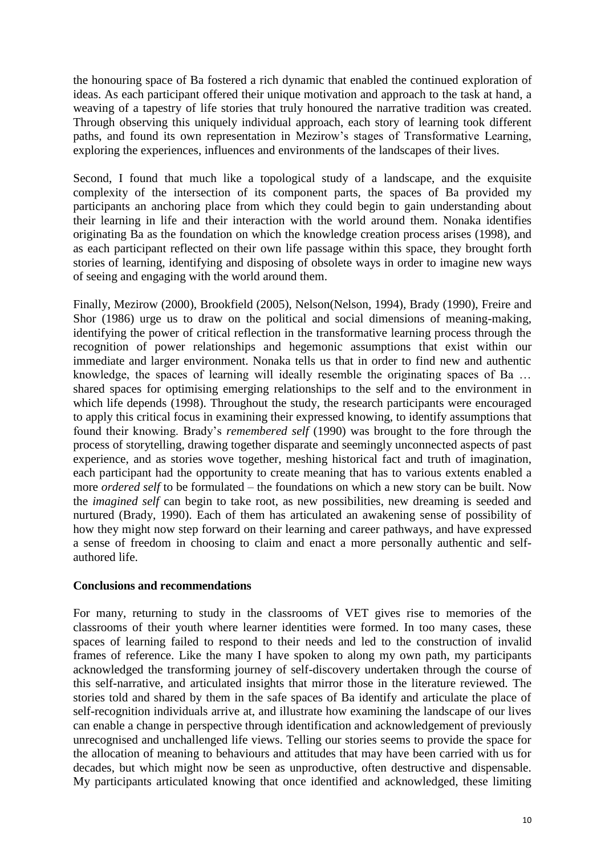the honouring space of Ba fostered a rich dynamic that enabled the continued exploration of ideas. As each participant offered their unique motivation and approach to the task at hand, a weaving of a tapestry of life stories that truly honoured the narrative tradition was created. Through observing this uniquely individual approach, each story of learning took different paths, and found its own representation in Mezirow's stages of Transformative Learning, exploring the experiences, influences and environments of the landscapes of their lives.

Second, I found that much like a topological study of a landscape, and the exquisite complexity of the intersection of its component parts, the spaces of Ba provided my participants an anchoring place from which they could begin to gain understanding about their learning in life and their interaction with the world around them. Nonaka identifies originating Ba as the foundation on which the knowledge creation process arises [\(1998\)](#page-11-0), and as each participant reflected on their own life passage within this space, they brought forth stories of learning, identifying and disposing of obsolete ways in order to imagine new ways of seeing and engaging with the world around them.

Finally, Mezirow [\(2000\)](#page-11-1), Brookfield [\(2005\)](#page-11-26), Nelson[\(Nelson, 1994\)](#page-11-12), Brady [\(1990\)](#page-11-7), Freire and Shor [\(1986\)](#page-11-2) urge us to draw on the political and social dimensions of meaning-making, identifying the power of critical reflection in the transformative learning process through the recognition of power relationships and hegemonic assumptions that exist within our immediate and larger environment. Nonaka tells us that in order to find new and authentic knowledge, the spaces of learning will ideally resemble the originating spaces of Ba … shared spaces for optimising emerging relationships to the self and to the environment in which life depends [\(1998\)](#page-11-0). Throughout the study, the research participants were encouraged to apply this critical focus in examining their expressed knowing, to identify assumptions that found their knowing. Brady's *remembered self* [\(1990\)](#page-11-7) was brought to the fore through the process of storytelling, drawing together disparate and seemingly unconnected aspects of past experience, and as stories wove together, meshing historical fact and truth of imagination, each participant had the opportunity to create meaning that has to various extents enabled a more *ordered self* to be formulated – the foundations on which a new story can be built. Now the *imagined self* can begin to take root, as new possibilities, new dreaming is seeded and nurtured [\(Brady, 1990\)](#page-11-7). Each of them has articulated an awakening sense of possibility of how they might now step forward on their learning and career pathways, and have expressed a sense of freedom in choosing to claim and enact a more personally authentic and selfauthored life.

# **Conclusions and recommendations**

For many, returning to study in the classrooms of VET gives rise to memories of the classrooms of their youth where learner identities were formed. In too many cases, these spaces of learning failed to respond to their needs and led to the construction of invalid frames of reference. Like the many I have spoken to along my own path, my participants acknowledged the transforming journey of self-discovery undertaken through the course of this self-narrative, and articulated insights that mirror those in the literature reviewed. The stories told and shared by them in the safe spaces of Ba identify and articulate the place of self-recognition individuals arrive at, and illustrate how examining the landscape of our lives can enable a change in perspective through identification and acknowledgement of previously unrecognised and unchallenged life views. Telling our stories seems to provide the space for the allocation of meaning to behaviours and attitudes that may have been carried with us for decades, but which might now be seen as unproductive, often destructive and dispensable. My participants articulated knowing that once identified and acknowledged, these limiting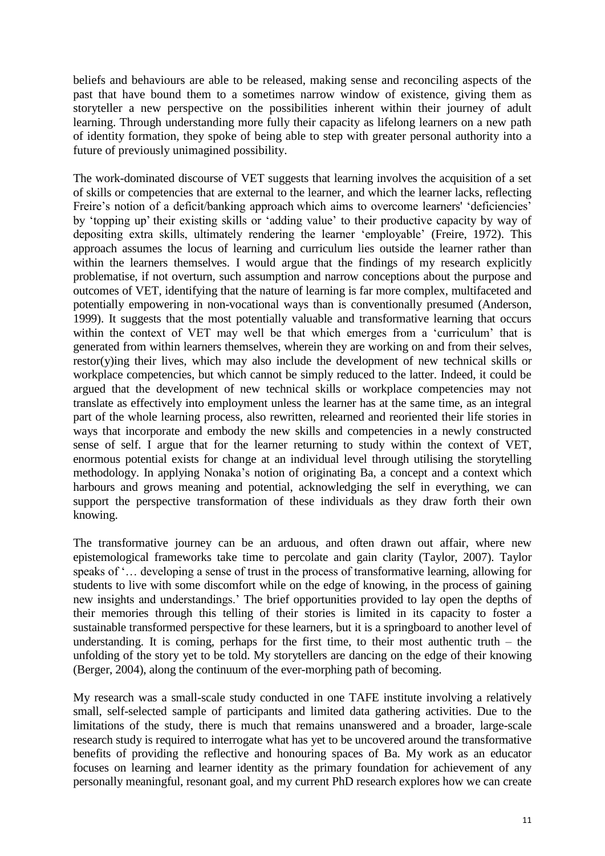beliefs and behaviours are able to be released, making sense and reconciling aspects of the past that have bound them to a sometimes narrow window of existence, giving them as storyteller a new perspective on the possibilities inherent within their journey of adult learning. Through understanding more fully their capacity as lifelong learners on a new path of identity formation, they spoke of being able to step with greater personal authority into a future of previously unimagined possibility.

The work-dominated discourse of VET suggests that learning involves the acquisition of a set of skills or competencies that are external to the learner, and which the learner lacks, reflecting Freire's notion of a deficit/banking approach which aims to overcome learners' 'deficiencies' by 'topping up' their existing skills or 'adding value' to their productive capacity by way of depositing extra skills, ultimately rendering the learner 'employable' [\(Freire, 1972\)](#page-11-27). This approach assumes the locus of learning and curriculum lies outside the learner rather than within the learners themselves. I would argue that the findings of my research explicitly problematise, if not overturn, such assumption and narrow conceptions about the purpose and outcomes of VET, identifying that the nature of learning is far more complex, multifaceted and potentially empowering in non-vocational ways than is conventionally presumed [\(Anderson,](#page-11-28)  [1999\)](#page-11-28). It suggests that the most potentially valuable and transformative learning that occurs within the context of VET may well be that which emerges from a 'curriculum' that is generated from within learners themselves, wherein they are working on and from their selves, restor(y)ing their lives, which may also include the development of new technical skills or workplace competencies, but which cannot be simply reduced to the latter. Indeed, it could be argued that the development of new technical skills or workplace competencies may not translate as effectively into employment unless the learner has at the same time, as an integral part of the whole learning process, also rewritten, relearned and reoriented their life stories in ways that incorporate and embody the new skills and competencies in a newly constructed sense of self. I argue that for the learner returning to study within the context of VET, enormous potential exists for change at an individual level through utilising the storytelling methodology. In applying Nonaka's notion of originating Ba, a concept and a context which harbours and grows meaning and potential, acknowledging the self in everything, we can support the perspective transformation of these individuals as they draw forth their own knowing.

The transformative journey can be an arduous, and often drawn out affair, where new epistemological frameworks take time to percolate and gain clarity [\(Taylor, 2007\)](#page-11-29). Taylor speaks of '… developing a sense of trust in the process of transformative learning, allowing for students to live with some discomfort while on the edge of knowing, in the process of gaining new insights and understandings.' The brief opportunities provided to lay open the depths of their memories through this telling of their stories is limited in its capacity to foster a sustainable transformed perspective for these learners, but it is a springboard to another level of understanding. It is coming, perhaps for the first time, to their most authentic truth  $-$  the unfolding of the story yet to be told. My storytellers are dancing on the edge of their knowing [\(Berger, 2004\)](#page-11-30), along the continuum of the ever-morphing path of becoming.

My research was a small-scale study conducted in one TAFE institute involving a relatively small, self-selected sample of participants and limited data gathering activities. Due to the limitations of the study, there is much that remains unanswered and a broader, large-scale research study is required to interrogate what has yet to be uncovered around the transformative benefits of providing the reflective and honouring spaces of Ba. My work as an educator focuses on learning and learner identity as the primary foundation for achievement of any personally meaningful, resonant goal, and my current PhD research explores how we can create